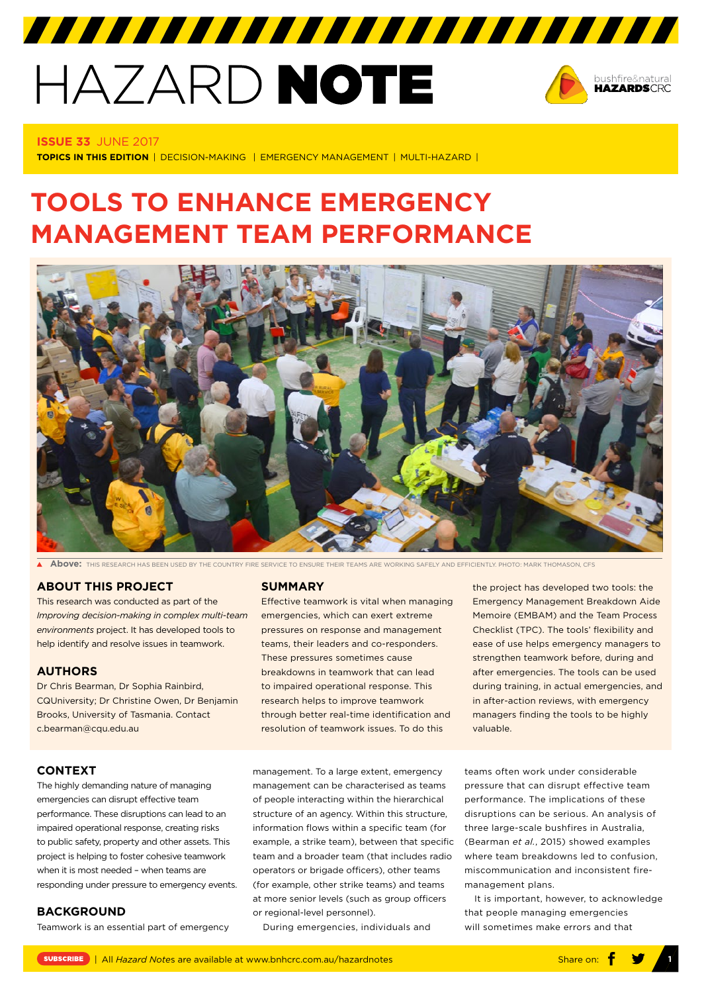# HAZARD NOTE



#### **ISSUE 33** JUNE 2017

**TOPICS IN THIS EDITION** | DECISION-MAKING | EMERGENCY MANAGEMENT | MULTI-HAZARD |

# **TOOLS TO ENHANCE EMERGENCY MANAGEMENT TEAM PERFORMANCE**



777777777777777777777777777777

**Above:** THIS RESEARCH HAS BEEN USED BY THE COUNTRY FIRE SERVICE TO ENSURE THEIR TEAMS ARE WORKING SAFELY AND EFFICIENTLY. PHOTO: MARK THOMASON, CFS

# **ABOUT THIS PROJECT**

This research was conducted as part of the *[Improving decision-making in complex multi-t](http://www.bnhcrc.com.au/research/hazard-resilience/242)eam environmen[ts](http://www.bnhcrc.com.au/research/hazard-resilience/242)* project. It has developed tools to help identify and resolve issues in teamwork.

#### **AUTHORS**

Dr Chris Bearman, Dr Sophia Rainbird, CQUniversity; Dr Christine Owen, Dr Benjamin Brooks, University of Tasmania. Contact c.bearman@cqu.edu.au

#### **SUMMARY**

Effective teamwork is vital when managing emergencies, which can exert extreme pressures on response and management teams, their leaders and co-responders. These pressures sometimes cause breakdowns in teamwork that can lead to impaired operational response. This research helps to improve teamwork through better real-time identification and resolution of teamwork issues. To do this

management. To a large extent, emergency management can be characterised as teams of people interacting within the hierarchical structure of an agency. Within this structure, information flows within a specific team (for example, a strike team), between that specific team and a broader team (that includes radio operators or brigade officers), other teams (for example, other strike teams) and teams at more senior levels (such as group officers or regional-level personnel).

During emergencies, individuals and

the project has developed two tools: the Emergency Management Breakdown Aide Memoire (EMBAM) and the Team Process Checklist (TPC). The tools' flexibility and ease of use helps emergency managers to strengthen teamwork before, during and after emergencies. The tools can be used during training, in actual emergencies, and in after-action reviews, with emergency managers finding the tools to be highly valuable.

pressure that can disrupt effective team performance. The implications of these disruptions can be serious. An analysis of three large-scale bushfires in Australia, (Bearman *et al.*, 2015) showed examples where team breakdowns led to confusion, miscommunication and inconsistent firemanagement plans.

teams often work under considerable

It is important, however, to acknowledge that people managing emergencies will sometimes make errors and that

# **CONTEXT**

The highly demanding nature of managing emergencies can disrupt effective team performance. These disruptions can lead to an impaired operational response, creating risks to public safety, property and other assets. This project is helping to foster cohesive teamwork when it is most needed – when teams are responding under pressure to emergency events.

#### **BACKGROUND**

Teamwork is an essential part of emergency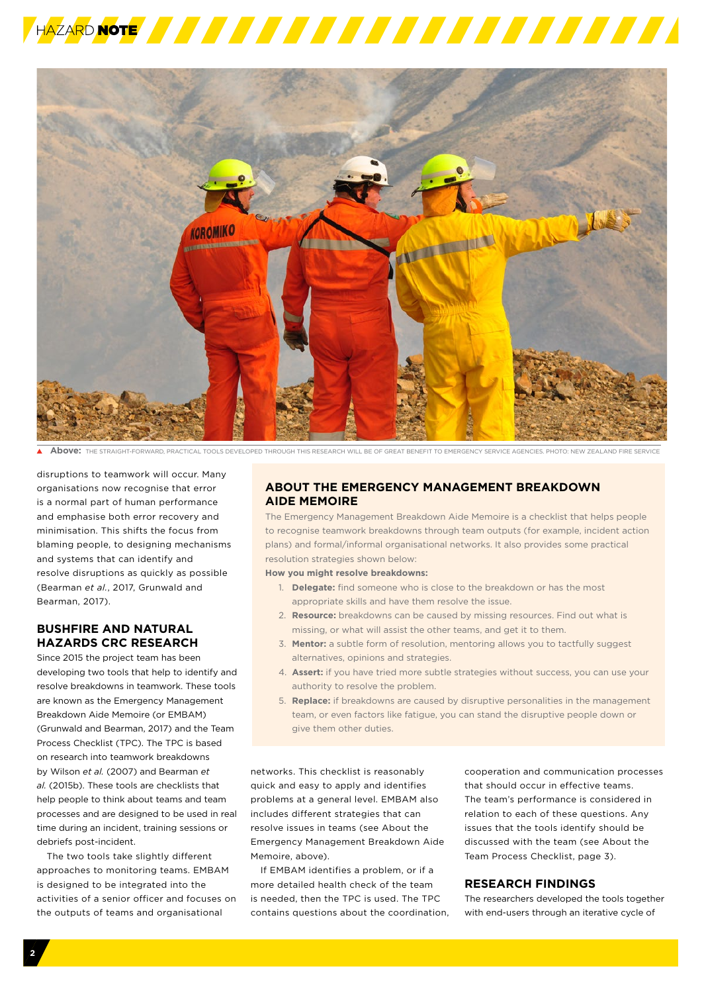



**Above:** THE STRAIGHT-FORWARD, PRACTICAL TOOLS DEVELOPED THROUGH THIS RESEARCH WILL BE OF GREAT BENEFIT TO EMERGENCY SERVICE AGENCIES. PHOTO: NEW ZEALAND FIRE SERVICE

disruptions to teamwork will occur. Many organisations now recognise that error is a normal part of human performance and emphasise both error recovery and minimisation. This shifts the focus from blaming people, to designing mechanisms and systems that can identify and resolve disruptions as quickly as possible (Bearman *et al.*, 2017, Grunwald and Bearman, 2017).

# **BUSHFIRE AND NATURAL HAZARDS CRC RESEARCH**

Since 2015 the project team has been developing two tools that help to identify and resolve breakdowns in teamwork. These tools are known as the Emergency Management Breakdown Aide Memoire (or EMBAM) (Grunwald and Bearman, 2017) and the Team Process Checklist (TPC). The TPC is based on research into teamwork breakdowns by Wilson *et al.* (2007) and Bearman *et al.* (2015b). These tools are checklists that help people to think about teams and team processes and are designed to be used in real time during an incident, training sessions or debriefs post-incident.

The two tools take slightly different approaches to monitoring teams. EMBAM is designed to be integrated into the activities of a senior officer and focuses on the outputs of teams and organisational

# **ABOUT THE EMERGENCY MANAGEMENT BREAKDOWN AIDE MEMOIRE**

The Emergency Management Breakdown Aide Memoire is a checklist that helps people to recognise teamwork breakdowns through team outputs (for example, incident action plans) and formal/informal organisational networks. It also provides some practical resolution strategies shown below:

**How you might resolve breakdowns:**

- 1. **Delegate:** find someone who is close to the breakdown or has the most appropriate skills and have them resolve the issue.
- 2. **Resource:** breakdowns can be caused by missing resources. Find out what is missing, or what will assist the other teams, and get it to them.
- 3. **Mentor:** a subtle form of resolution, mentoring allows you to tactfully suggest alternatives, opinions and strategies.
- 4. **Assert:** if you have tried more subtle strategies without success, you can use your authority to resolve the problem.
- 5. **Replace:** if breakdowns are caused by disruptive personalities in the management team, or even factors like fatigue, you can stand the disruptive people down or give them other duties.

networks. This checklist is reasonably quick and easy to apply and identifies problems at a general level. EMBAM also includes different strategies that can resolve issues in teams (see About the Emergency Management Breakdown Aide Memoire, above).

If EMBAM identifies a problem, or if a more detailed health check of the team is needed, then the TPC is used. The TPC contains questions about the coordination,

cooperation and communication processes that should occur in effective teams. The team's performance is considered in relation to each of these questions. Any issues that the tools identify should be discussed with the team (see About the Team Process Checklist, page 3).

# **RESEARCH FINDINGS**

The researchers developed the tools together with end-users through an iterative cycle of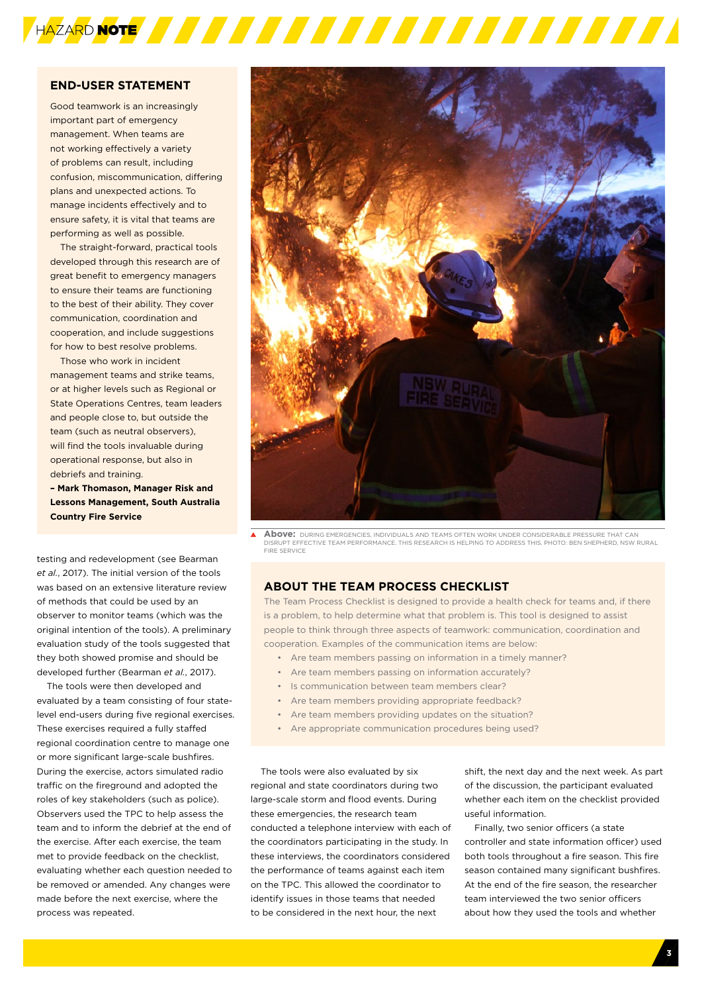

## **END-USER STATEMENT**

Good teamwork is an increasingly important part of emergency management. When teams are not working effectively a variety of problems can result, including confusion, miscommunication, differing plans and unexpected actions. To manage incidents effectively and to ensure safety, it is vital that teams are performing as well as possible.

The straight-forward, practical tools developed through this research are of great benefit to emergency managers to ensure their teams are functioning to the best of their ability. They cover communication, coordination and cooperation, and include suggestions for how to best resolve problems.

Those who work in incident management teams and strike teams or at higher levels such as Regional or State Operations Centres, team leaders and people close to, but outside the team (such as neutral observers), will find the tools invaluable during operational response, but also in debriefs and training.

**– Mark Thomason, Manager Risk and Lessons Management, South Australia Country Fire Service** 

testing and redevelopment (see Bearman *et al.*, 2017). The initial version of the tools was based on an extensive literature review of methods that could be used by an observer to monitor teams (which was the original intention of the tools). A preliminary evaluation study of the tools suggested that they both showed promise and should be developed further (Bearman *et al.*, 2017).

The tools were then developed and evaluated by a team consisting of four statelevel end-users during five regional exercises. These exercises required a fully staffed regional coordination centre to manage one or more significant large-scale bushfires. During the exercise, actors simulated radio traffic on the fireground and adopted the roles of key stakeholders (such as police). Observers used the TPC to help assess the team and to inform the debrief at the end of the exercise. After each exercise, the team met to provide feedback on the checklist, evaluating whether each question needed to be removed or amended. Any changes were made before the next exercise, where the process was repeated.



**Above:** DURING EMERGENCIES, INDIVIDUALS AND TEAMS OFTEN WORK UNDER CONSIDERABLE PRESSURE THAT CAN DISRUPT EFFECTIVE TEAM PERFORMANCE. THIS RESEARCH IS HELPING TO ADDRESS THIS. PHOTO: BEN SHEPHERD, NSW RURAL FIRE SERVICE

#### **ABOUT THE TEAM PROCESS CHECKLIST**

The Team Process Checklist is designed to provide a health check for teams and, if there is a problem, to help determine what that problem is. This tool is designed to assist people to think through three aspects of teamwork: communication, coordination and cooperation. Examples of the communication items are below:

- Are team members passing on information in a timely manner?
	- Are team members passing on information accurately?
	- Is communication between team members clear?
	- Are team members providing appropriate feedback?
- Are team members providing updates on the situation?
- Are appropriate communication procedures being used?

The tools were also evaluated by six regional and state coordinators during two large-scale storm and flood events. During these emergencies, the research team conducted a telephone interview with each of the coordinators participating in the study. In these interviews, the coordinators considered the performance of teams against each item on the TPC. This allowed the coordinator to identify issues in those teams that needed to be considered in the next hour, the next

shift, the next day and the next week. As part of the discussion, the participant evaluated whether each item on the checklist provided useful information.

Finally, two senior officers (a state controller and state information officer) used both tools throughout a fire season. This fire season contained many significant bushfires. At the end of the fire season, the researcher team interviewed the two senior officers about how they used the tools and whether